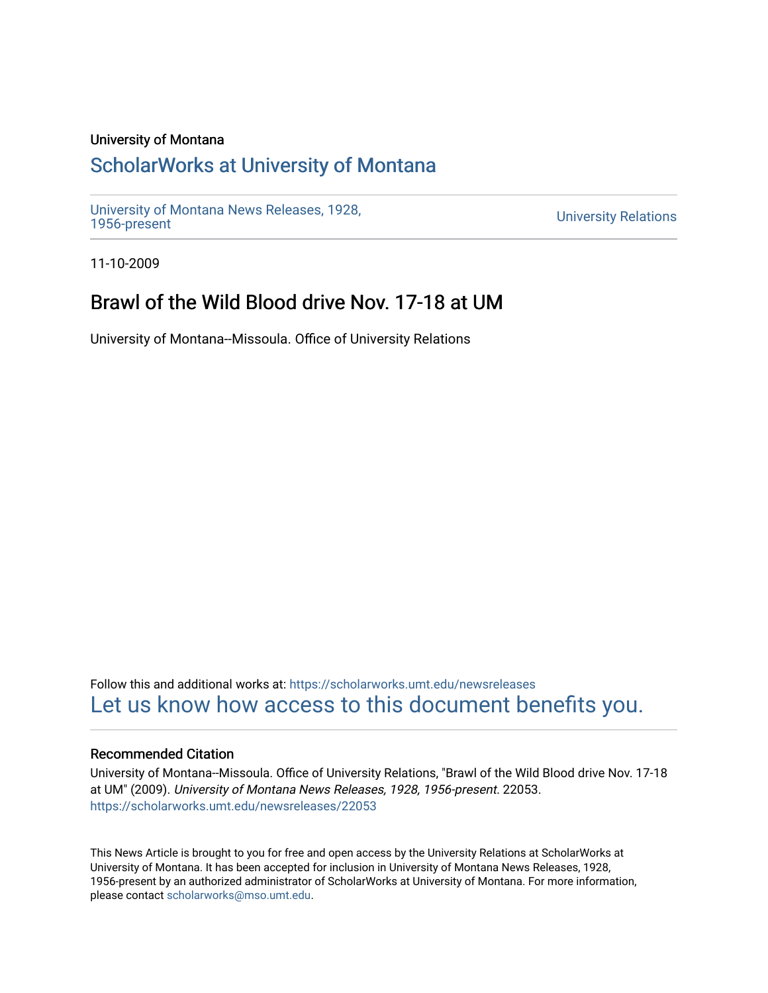#### University of Montana

## [ScholarWorks at University of Montana](https://scholarworks.umt.edu/)

[University of Montana News Releases, 1928,](https://scholarworks.umt.edu/newsreleases) 

**University Relations** 

11-10-2009

## Brawl of the Wild Blood drive Nov. 17-18 at UM

University of Montana--Missoula. Office of University Relations

Follow this and additional works at: [https://scholarworks.umt.edu/newsreleases](https://scholarworks.umt.edu/newsreleases?utm_source=scholarworks.umt.edu%2Fnewsreleases%2F22053&utm_medium=PDF&utm_campaign=PDFCoverPages) [Let us know how access to this document benefits you.](https://goo.gl/forms/s2rGfXOLzz71qgsB2) 

#### Recommended Citation

University of Montana--Missoula. Office of University Relations, "Brawl of the Wild Blood drive Nov. 17-18 at UM" (2009). University of Montana News Releases, 1928, 1956-present. 22053. [https://scholarworks.umt.edu/newsreleases/22053](https://scholarworks.umt.edu/newsreleases/22053?utm_source=scholarworks.umt.edu%2Fnewsreleases%2F22053&utm_medium=PDF&utm_campaign=PDFCoverPages) 

This News Article is brought to you for free and open access by the University Relations at ScholarWorks at University of Montana. It has been accepted for inclusion in University of Montana News Releases, 1928, 1956-present by an authorized administrator of ScholarWorks at University of Montana. For more information, please contact [scholarworks@mso.umt.edu.](mailto:scholarworks@mso.umt.edu)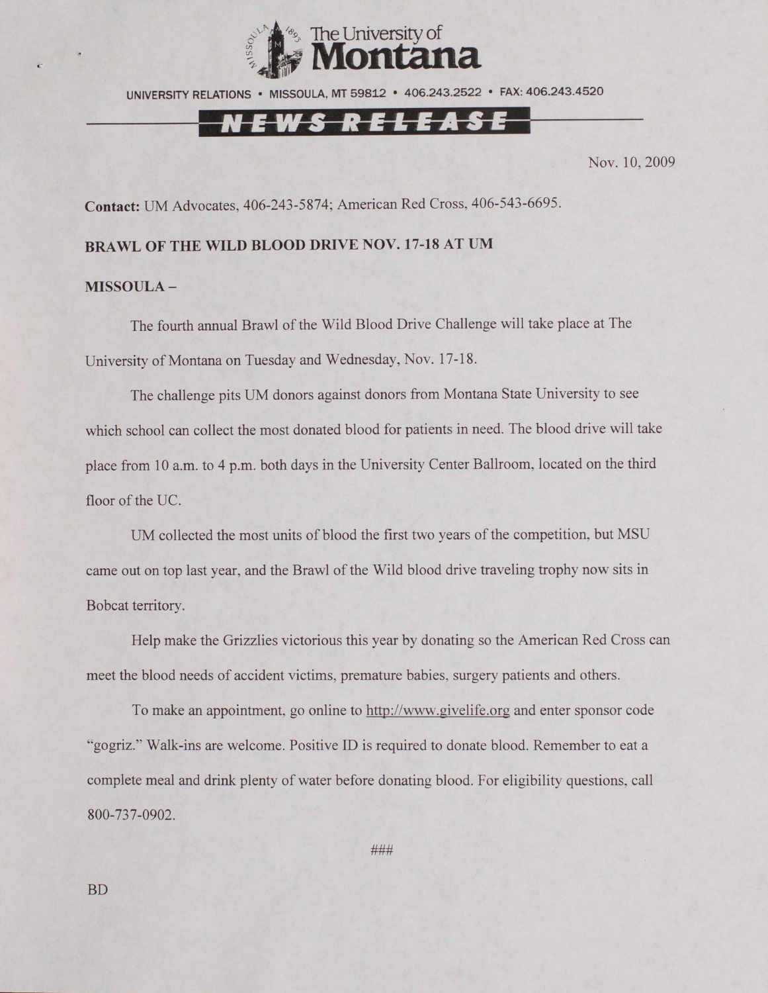

UNIVERSITY RELATIONS • MISSOULA. MT 59812 • 406.243.2522 • FAX: 406.243.4520

# <u>EWS RELEASE</u>

Nov. 10, 2009

**Contact:** UM Advocates, 406-243-5874; American Red Cross, 406-543-6695.

### **BRAWL OF THE WILD BLOOD DRIVE NOV. 17-18 AT UM**

#### **MISSOULA -**

The fourth annual Brawl of the Wild Blood Drive Challenge will take place at The University of Montana on Tuesday and Wednesday, Nov. 17-18.

The challenge pits UM donors against donors from Montana State University to see which school can collect the most donated blood for patients in need. The blood drive will take place from 10 a.m. to 4 p.m. both days in the University Center Ballroom, located on the third floor of the UC.

UM collected the most units of blood the first two years of the competition, but MSU came out on top last year, and the Brawl of the Wild blood drive traveling trophy now sits in Bobcat territory.

Help make the Grizzlies victorious this year by donating so the American Red Cross can meet the blood needs of accident victims, premature babies, surgery patients and others.

To make an appointment, go online to http://www.givelife.org and enter sponsor code "gogriz." Walk-ins are welcome. Positive ID is required to donate blood. Remember to eat a complete meal and drink plenty of water before donating blood. For eligibility questions, call 800-737-0902.